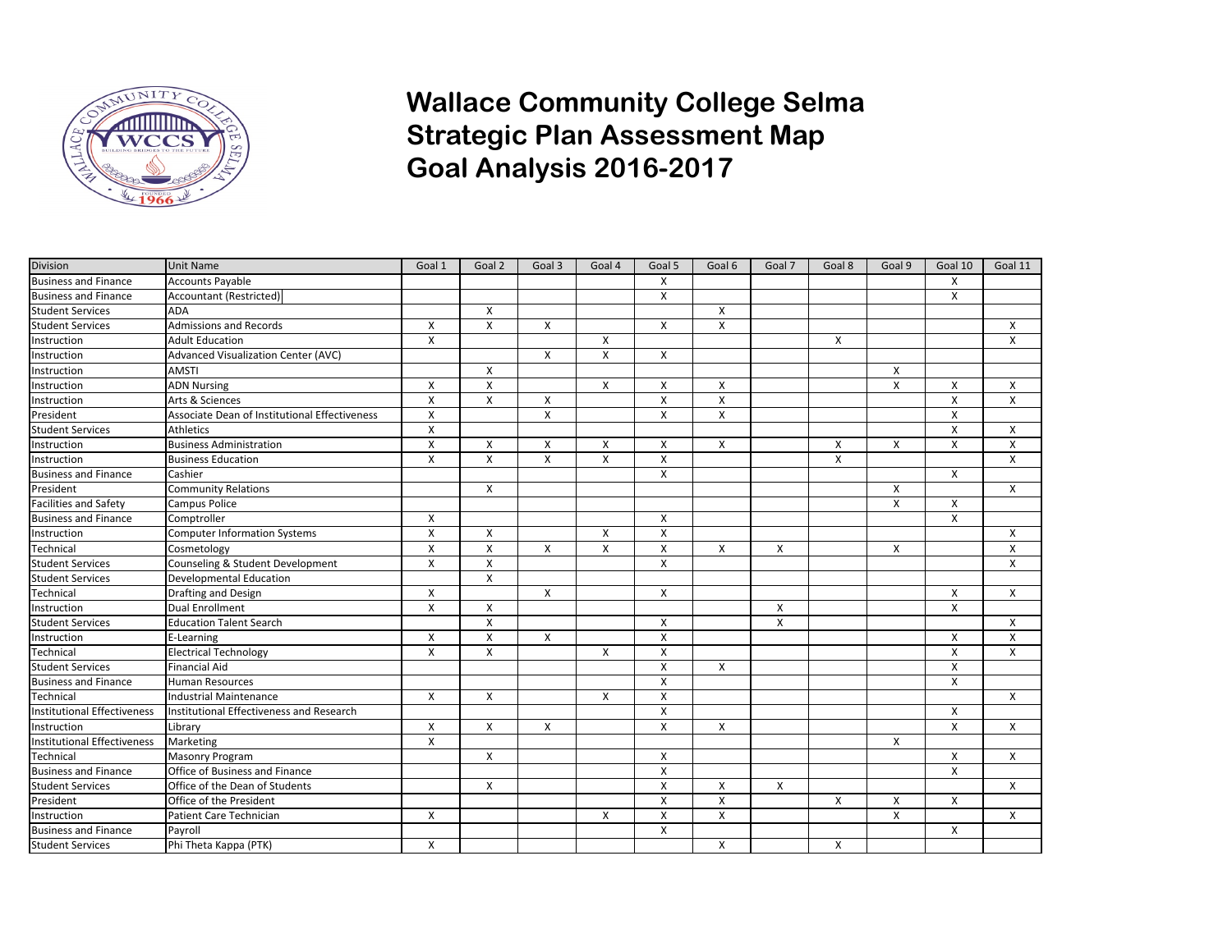

## **Wallace Community College Selma Strategic Plan Assessment Map Goal Analysis 2016-2017**

| <b>Division</b>                    | <b>Unit Name</b>                              | Goal 1                    | Goal 2         | Goal 3                  | Goal 4 | Goal 5       | Goal 6                  | Goal 7       | Goal 8 | Goal 9                  | Goal 10 | Goal 11 |
|------------------------------------|-----------------------------------------------|---------------------------|----------------|-------------------------|--------|--------------|-------------------------|--------------|--------|-------------------------|---------|---------|
| <b>Business and Finance</b>        | Accounts Payable                              |                           |                |                         |        | X            |                         |              |        |                         | X       |         |
| <b>Business and Finance</b>        | Accountant (Restricted)                       |                           |                |                         |        | X            |                         |              |        |                         | X       |         |
| <b>Student Services</b>            | ADA                                           |                           | X              |                         |        |              | Χ                       |              |        |                         |         |         |
| <b>Student Services</b>            | <b>Admissions and Records</b>                 | X                         | $\pmb{\chi}$   | X                       |        | X            | $\pmb{\times}$          |              |        |                         |         | X       |
| Instruction                        | <b>Adult Education</b>                        | $\boldsymbol{\mathsf{X}}$ |                |                         | X      |              |                         |              | X      |                         |         | X       |
| Instruction                        | Advanced Visualization Center (AVC)           |                           |                | X                       | X      | X            |                         |              |        |                         |         |         |
| Instruction                        | <b>AMSTI</b>                                  |                           | X              |                         |        |              |                         |              |        | X                       |         |         |
| Instruction                        | <b>ADN Nursing</b>                            | X                         | X              |                         | X      | X            | X                       |              |        | X                       | X       | X       |
| Instruction                        | Arts & Sciences                               | X                         | Χ              | X                       |        | X            | X                       |              |        |                         | X       | X       |
| President                          | Associate Dean of Institutional Effectiveness | $\pmb{\times}$            |                | $\overline{\mathsf{x}}$ |        | $\mathsf{x}$ | $\overline{\mathsf{x}}$ |              |        |                         | X       |         |
| <b>Student Services</b>            | <b>Athletics</b>                              | X                         |                |                         |        |              |                         |              |        |                         | X       | X       |
| Instruction                        | <b>Business Administration</b>                | X                         | X              | X                       | X      | X            | X                       |              | X      | X                       | X       | X       |
| Instruction                        | <b>Business Education</b>                     | $\boldsymbol{\mathsf{X}}$ | X              | X                       | X      | X            |                         |              | X      |                         |         | X       |
| <b>Business and Finance</b>        | Cashier                                       |                           |                |                         |        | X            |                         |              |        |                         | X       |         |
| President                          | <b>Community Relations</b>                    |                           | X              |                         |        |              |                         |              |        | X                       |         | X       |
| <b>Facilities and Safety</b>       | Campus Police                                 |                           |                |                         |        |              |                         |              |        | $\overline{\mathsf{x}}$ | X       |         |
| <b>Business and Finance</b>        | Comptroller                                   | X                         |                |                         |        | X            |                         |              |        |                         | X       |         |
| Instruction                        | <b>Computer Information Systems</b>           | $\pmb{\times}$            | X              |                         | X      | X            |                         |              |        |                         |         | Х       |
| Technical                          | Cosmetology                                   | X                         | X              | X                       | X      | X            | X                       | X            |        | X                       |         | X       |
| <b>Student Services</b>            | Counseling & Student Development              | $\pmb{\times}$            | X              |                         |        | X            |                         |              |        |                         |         | X       |
| <b>Student Services</b>            | <b>Developmental Education</b>                |                           | $\pmb{\times}$ |                         |        |              |                         |              |        |                         |         |         |
| Technical                          | Drafting and Design                           | X                         |                | X                       |        | X            |                         |              |        |                         | X       | X       |
| Instruction                        | <b>Dual Enrollment</b>                        | $\mathsf{x}$              | X              |                         |        |              |                         | X            |        |                         | X       |         |
| <b>Student Services</b>            | <b>Education Talent Search</b>                |                           | $\mathsf{x}$   |                         |        | X            |                         | $\mathsf{X}$ |        |                         |         | X       |
| Instruction                        | E-Learning                                    | X                         | X              | X                       |        | X            |                         |              |        |                         | X       | X       |
| Technical                          | <b>Electrical Technology</b>                  | $\boldsymbol{\mathsf{X}}$ | X              |                         | X      | X            |                         |              |        |                         | X       | X       |
| <b>Student Services</b>            | <b>Financial Aid</b>                          |                           |                |                         |        | X            | X                       |              |        |                         | X       |         |
| <b>Business and Finance</b>        | <b>Human Resources</b>                        |                           |                |                         |        | X            |                         |              |        |                         | X       |         |
| Technical                          | <b>Industrial Maintenance</b>                 | X                         | X              |                         | X      | X            |                         |              |        |                         |         | X       |
| <b>Institutional Effectiveness</b> | Institutional Effectiveness and Research      |                           |                |                         |        | X            |                         |              |        |                         | X       |         |
| Instruction                        | Library                                       | X                         | X              | X                       |        | X            | X                       |              |        |                         | X       | X       |
| <b>Institutional Effectiveness</b> | Marketing                                     | $\overline{\mathsf{x}}$   |                |                         |        |              |                         |              |        | X                       |         |         |
| Technical                          | <b>Masonry Program</b>                        |                           | X              |                         |        | X            |                         |              |        |                         | X       | X       |
| <b>Business and Finance</b>        | Office of Business and Finance                |                           |                |                         |        | $\mathsf{x}$ |                         |              |        |                         | X       |         |
| <b>Student Services</b>            | Office of the Dean of Students                |                           | X              |                         |        | X            | X                       | X            |        |                         |         | X       |
| President                          | Office of the President                       |                           |                |                         |        | X            | X                       |              | Χ      | X                       | X       |         |
| Instruction                        | Patient Care Technician                       | X                         |                |                         | X      | X            | X                       |              |        | X                       |         | X       |
| <b>Business and Finance</b>        | Payroll                                       |                           |                |                         |        | X            |                         |              |        |                         | X       |         |
| <b>Student Services</b>            | Phi Theta Kappa (PTK)                         | X                         |                |                         |        |              | X                       |              | X      |                         |         |         |